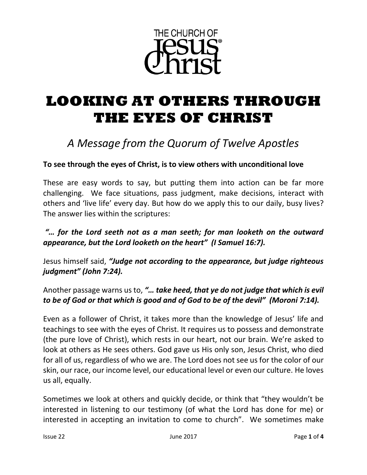

# **LOOKING AT OTHERS THROUGH THE EYES OF CHRIST**

## *A Message from the Quorum of Twelve Apostles*

### **To see through the eyes of Christ, is to view others with unconditional love**

These are easy words to say, but putting them into action can be far more challenging. We face situations, pass judgment, make decisions, interact with others and 'live life' every day. But how do we apply this to our daily, busy lives? The answer lies within the scriptures:

### *"… for the Lord seeth not as a man seeth; for man looketh on the outward appearance, but the Lord looketh on the heart" (I Samuel 16:7).*

Jesus himself said, *"Judge not according to the appearance, but judge righteous judgment" (John 7:24).*

Another passage warns us to, *"… take heed, that ye do not judge that which is evil to be of God or that which is good and of God to be of the devil" (Moroni 7:14).*

Even as a follower of Christ, it takes more than the knowledge of Jesus' life and teachings to see with the eyes of Christ. It requires us to possess and demonstrate (the pure love of Christ), which rests in our heart, not our brain. We're asked to look at others as He sees others. God gave us His only son, Jesus Christ, who died for all of us, regardless of who we are. The Lord does not see us for the color of our skin, our race, our income level, our educational level or even our culture. He loves us all, equally.

Sometimes we look at others and quickly decide, or think that "they wouldn't be interested in listening to our testimony (of what the Lord has done for me) or interested in accepting an invitation to come to church". We sometimes make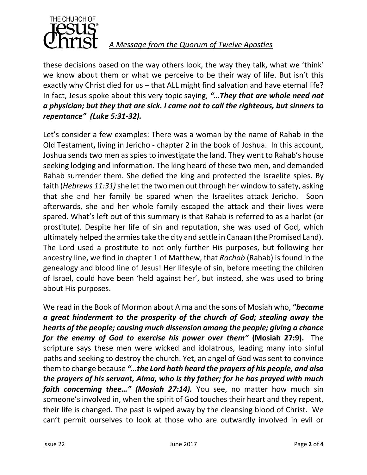

these decisions based on the way others look, the way they talk, what we 'think' we know about them or what we perceive to be their way of life. But isn't this exactly why Christ died for us – that ALL might find salvation and have eternal life? In fact, Jesus spoke about this very topic saying, *"…They that are whole need not a physician; but they that are sick. I came not to call the righteous, but sinners to repentance" (Luke 5:31-32).*

Let's consider a few examples: There was a woman by the name of Rahab in the Old Testament**,** living in Jericho - chapter 2 in the book of Joshua. In this account, Joshua sends two men as spies to investigate the land. They went to Rahab's house seeking lodging and information. The king heard of these two men, and demanded Rahab surrender them. She defied the king and protected the Israelite spies. By faith (*Hebrews 11:31)*she let the two men out through her window to safety, asking that she and her family be spared when the Israelites attack Jericho. Soon afterwards, she and her whole family escaped the attack and their lives were spared. What's left out of this summary is that Rahab is referred to as a harlot (or prostitute). Despite her life of sin and reputation, she was used of God, which ultimately helped the armies take the city and settle in Canaan (the Promised Land). The Lord used a prostitute to not only further His purposes, but following her ancestry line, we find in chapter 1 of Matthew, that *Rachab* (Rahab) is found in the genealogy and blood line of Jesus! Her lifesyle of sin, before meeting the children of Israel, could have been 'held against her', but instead, she was used to bring about His purposes.

We read in the Book of Mormon about Alma and the sons of Mosiah who, **"***became a great hinderment to the prosperity of the church of God; stealing away the hearts of the people; causing much dissension among the people; giving a chance for the enemy of God to exercise his power over them"* **(Mosiah 27:9).** The scripture says these men were wicked and idolatrous, leading many into sinful paths and seeking to destroy the church. Yet, an angel of God was sent to convince them to change because *"…the Lord hath heard the prayers of his people, and also the prayers of his servant, Alma, who is thy father; for he has prayed with much faith concerning thee..." (Mosiah 27:14).* You see, no matter how much sin someone's involved in, when the spirit of God touches their heart and they repent, their life is changed. The past is wiped away by the cleansing blood of Christ. We can't permit ourselves to look at those who are outwardly involved in evil or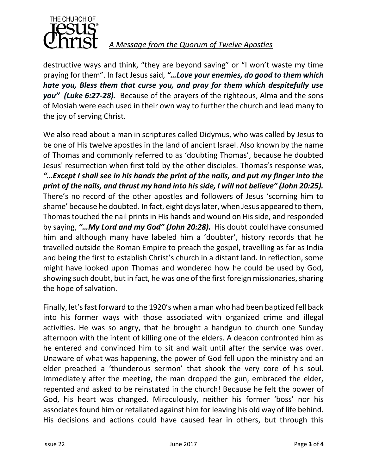

### *A Message from the Quorum of Twelve Apostles*

destructive ways and think, "they are beyond saving" or "I won't waste my time praying for them". In fact Jesus said, *"…Love your enemies, do good to them which hate you, Bless them that curse you, and pray for them which despitefully use you" (Luke 6:27-28).* Because of the prayers of the righteous, Alma and the sons of Mosiah were each used in their own way to further the church and lead many to the joy of serving Christ.

We also read about a man in scriptures called Didymus, who was called by Jesus to be one of His twelve apostles in the land of ancient Israel. Also known by the name of Thomas and commonly referred to as 'doubting Thomas', because he doubted Jesus' resurrection when first told by the other disciples. Thomas's response was, *"…Except I shall see in his hands the print of the nails, and put my finger into the print of the nails, and thrust my hand into his side, I will not believe" (John 20:25).* There's no record of the other apostles and followers of Jesus 'scorning him to shame' because he doubted. In fact, eight days later, when Jesus appeared to them, Thomas touched the nail prints in His hands and wound on His side, and responded by saying, *"…My Lord and my God" (John 20:28).* His doubt could have consumed him and although many have labeled him a 'doubter', history records that he travelled outside the Roman Empire to preach the gospel, travelling as far as India and being the first to establish Christ's church in a distant land. In reflection, some might have looked upon Thomas and wondered how he could be used by God, showing such doubt, but in fact, he was one of the first foreign missionaries, sharing the hope of salvation.

Finally, let's fast forward to the 1920's when a man who had been baptized fell back into his former ways with those associated with organized crime and illegal activities. He was so angry, that he brought a handgun to church one Sunday afternoon with the intent of killing one of the elders. A deacon confronted him as he entered and convinced him to sit and wait until after the service was over. Unaware of what was happening, the power of God fell upon the ministry and an elder preached a 'thunderous sermon' that shook the very core of his soul. Immediately after the meeting, the man dropped the gun, embraced the elder, repented and asked to be reinstated in the church! Because he felt the power of God, his heart was changed. Miraculously, neither his former 'boss' nor his associates found him or retaliated against him for leaving his old way of life behind. His decisions and actions could have caused fear in others, but through this